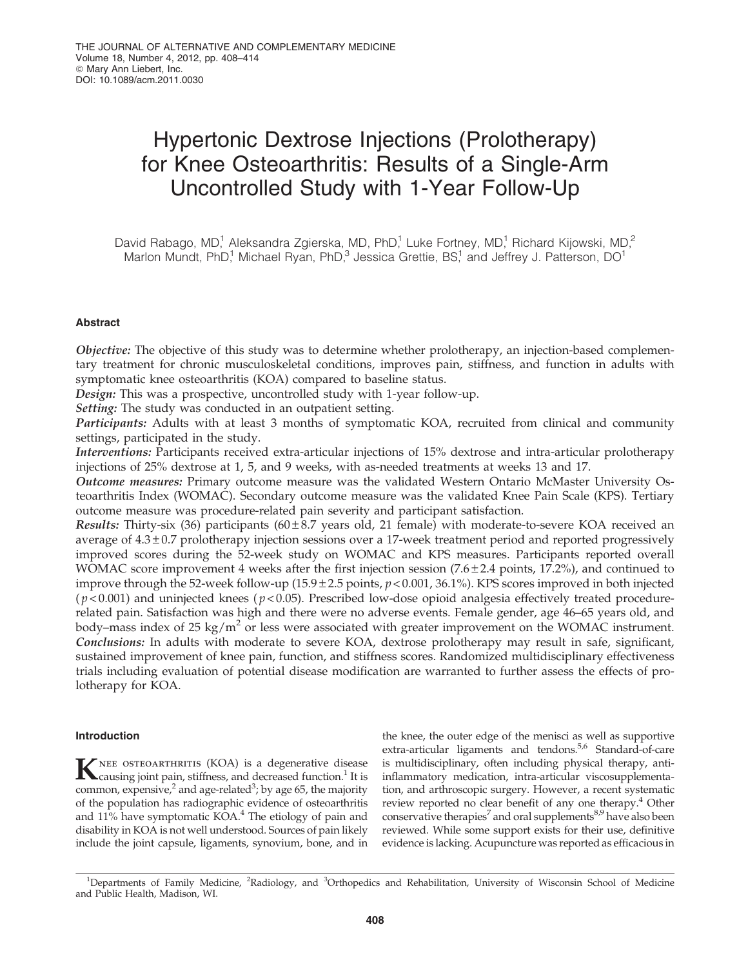# Hypertonic Dextrose Injections (Prolotherapy) for Knee Osteoarthritis: Results of a Single-Arm Uncontrolled Study with 1-Year Follow-Up

David Rabago, MD,<sup>1</sup> Aleksandra Zgierska, MD, PhD,<sup>1</sup> Luke Fortney, MD,<sup>1</sup> Richard Kijowski, MD,<sup>2</sup> Marlon Mundt, PhD,<sup>1</sup> Michael Ryan, PhD,<sup>3</sup> Jessica Grettie, BS,<sup>1</sup> and Jeffrey J. Patterson, DO<sup>1</sup>

## Abstract

Objective: The objective of this study was to determine whether prolotherapy, an injection-based complementary treatment for chronic musculoskeletal conditions, improves pain, stiffness, and function in adults with symptomatic knee osteoarthritis (KOA) compared to baseline status.

Design: This was a prospective, uncontrolled study with 1-year follow-up.

Setting: The study was conducted in an outpatient setting.

Participants: Adults with at least 3 months of symptomatic KOA, recruited from clinical and community settings, participated in the study.

Interventions: Participants received extra-articular injections of 15% dextrose and intra-articular prolotherapy injections of 25% dextrose at 1, 5, and 9 weeks, with as-needed treatments at weeks 13 and 17.

Outcome measures: Primary outcome measure was the validated Western Ontario McMaster University Osteoarthritis Index (WOMAC). Secondary outcome measure was the validated Knee Pain Scale (KPS). Tertiary outcome measure was procedure-related pain severity and participant satisfaction.

Results: Thirty-six (36) participants ( $60 \pm 8.7$  years old, 21 female) with moderate-to-severe KOA received an average of  $4.3 \pm 0.7$  prolotherapy injection sessions over a 17-week treatment period and reported progressively improved scores during the 52-week study on WOMAC and KPS measures. Participants reported overall WOMAC score improvement 4 weeks after the first injection session  $(7.6 \pm 2.4 \text{ points}, 17.2\%)$ , and continued to improve through the 52-week follow-up  $(15.9 \pm 2.5 \text{ points}, p < 0.001, 36.1\%)$ . KPS scores improved in both injected  $(p<0.001)$  and uninjected knees ( $p<0.05$ ). Prescribed low-dose opioid analgesia effectively treated procedurerelated pain. Satisfaction was high and there were no adverse events. Female gender, age 46–65 years old, and body–mass index of 25 kg/m<sup>2</sup> or less were associated with greater improvement on the WOMAC instrument. Conclusions: In adults with moderate to severe KOA, dextrose prolotherapy may result in safe, significant, sustained improvement of knee pain, function, and stiffness scores. Randomized multidisciplinary effectiveness trials including evaluation of potential disease modification are warranted to further assess the effects of prolotherapy for KOA.

## Introduction

**K**NEE OSTEOARTHRITIS (KOA) is a degenerative disease<br>causing joint pain, stiffness, and decreased function.<sup>1</sup> It is common, expensive,<sup>2</sup> and age-related<sup>3</sup>; by age 65, the majority of the population has radiographic evidence of osteoarthritis and 11% have symptomatic KOA.<sup>4</sup> The etiology of pain and disability in KOA is not well understood. Sources of pain likely include the joint capsule, ligaments, synovium, bone, and in the knee, the outer edge of the menisci as well as supportive extra-articular ligaments and tendons.<sup>5,6</sup> Standard-of-care is multidisciplinary, often including physical therapy, antiinflammatory medication, intra-articular viscosupplementation, and arthroscopic surgery. However, a recent systematic review reported no clear benefit of any one therapy.<sup>4</sup> Other conservative therapies<sup>7</sup> and oral supplements<sup>8,9</sup> have also been reviewed. While some support exists for their use, definitive evidence is lacking. Acupuncture was reported as efficacious in

<sup>&</sup>lt;sup>1</sup>Departments of Family Medicine, <sup>2</sup>Radiology, and <sup>3</sup>Orthopedics and Rehabilitation, University of Wisconsin School of Medicine and Public Health, Madison, WI.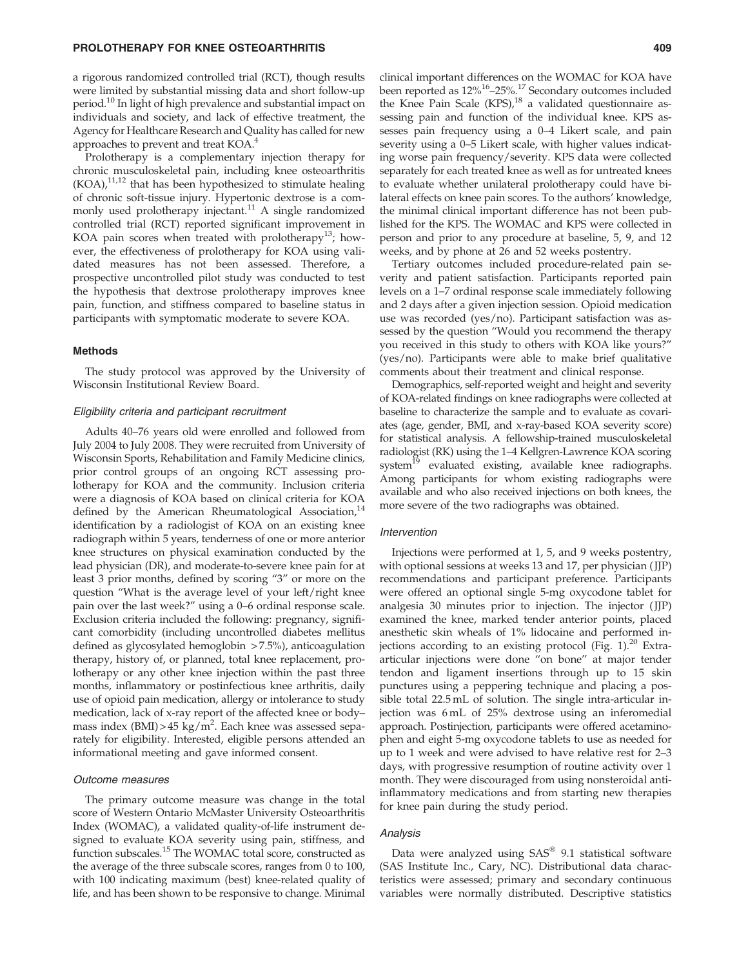a rigorous randomized controlled trial (RCT), though results were limited by substantial missing data and short follow-up period.<sup>10</sup> In light of high prevalence and substantial impact on individuals and society, and lack of effective treatment, the Agency for Healthcare Research and Quality has called for new approaches to prevent and treat KOA.<sup>4</sup>

Prolotherapy is a complementary injection therapy for chronic musculoskeletal pain, including knee osteoarthritis  $(KOA)<sub>1</sub>$ <sup>11,12</sup> that has been hypothesized to stimulate healing of chronic soft-tissue injury. Hypertonic dextrose is a commonly used prolotherapy injectant.<sup>11</sup> A single randomized controlled trial (RCT) reported significant improvement in KOA pain scores when treated with prolotherapy<sup>13</sup>; however, the effectiveness of prolotherapy for KOA using validated measures has not been assessed. Therefore, a prospective uncontrolled pilot study was conducted to test the hypothesis that dextrose prolotherapy improves knee pain, function, and stiffness compared to baseline status in participants with symptomatic moderate to severe KOA.

## Methods

The study protocol was approved by the University of Wisconsin Institutional Review Board.

#### Eligibility criteria and participant recruitment

Adults 40–76 years old were enrolled and followed from July 2004 to July 2008. They were recruited from University of Wisconsin Sports, Rehabilitation and Family Medicine clinics, prior control groups of an ongoing RCT assessing prolotherapy for KOA and the community. Inclusion criteria were a diagnosis of KOA based on clinical criteria for KOA defined by the American Rheumatological Association, $14$ identification by a radiologist of KOA on an existing knee radiograph within 5 years, tenderness of one or more anterior knee structures on physical examination conducted by the lead physician (DR), and moderate-to-severe knee pain for at least 3 prior months, defined by scoring ''3'' or more on the question ''What is the average level of your left/right knee pain over the last week?'' using a 0–6 ordinal response scale. Exclusion criteria included the following: pregnancy, significant comorbidity (including uncontrolled diabetes mellitus defined as glycosylated hemoglobin > 7.5%), anticoagulation therapy, history of, or planned, total knee replacement, prolotherapy or any other knee injection within the past three months, inflammatory or postinfectious knee arthritis, daily use of opioid pain medication, allergy or intolerance to study medication, lack of x-ray report of the affected knee or body– mass index (BMI) >  $45 \text{ kg/m}^2$ . Each knee was assessed separately for eligibility. Interested, eligible persons attended an informational meeting and gave informed consent.

## Outcome measures

The primary outcome measure was change in the total score of Western Ontario McMaster University Osteoarthritis Index (WOMAC), a validated quality-of-life instrument designed to evaluate KOA severity using pain, stiffness, and function subscales.<sup>15</sup> The WOMAC total score, constructed as the average of the three subscale scores, ranges from 0 to 100, with 100 indicating maximum (best) knee-related quality of life, and has been shown to be responsive to change. Minimal

clinical important differences on the WOMAC for KOA have been reported as 12%<sup>16</sup>-25%.<sup>17</sup> Secondary outcomes included the Knee Pain Scale (KPS), $^{18}$  a validated questionnaire assessing pain and function of the individual knee. KPS assesses pain frequency using a 0–4 Likert scale, and pain severity using a 0–5 Likert scale, with higher values indicating worse pain frequency/severity. KPS data were collected separately for each treated knee as well as for untreated knees to evaluate whether unilateral prolotherapy could have bilateral effects on knee pain scores. To the authors' knowledge, the minimal clinical important difference has not been published for the KPS. The WOMAC and KPS were collected in person and prior to any procedure at baseline, 5, 9, and 12 weeks, and by phone at 26 and 52 weeks postentry.

Tertiary outcomes included procedure-related pain severity and patient satisfaction. Participants reported pain levels on a 1–7 ordinal response scale immediately following and 2 days after a given injection session. Opioid medication use was recorded (yes/no). Participant satisfaction was assessed by the question ''Would you recommend the therapy you received in this study to others with KOA like yours?'' (yes/no). Participants were able to make brief qualitative comments about their treatment and clinical response.

Demographics, self-reported weight and height and severity of KOA-related findings on knee radiographs were collected at baseline to characterize the sample and to evaluate as covariates (age, gender, BMI, and x-ray-based KOA severity score) for statistical analysis. A fellowship-trained musculoskeletal radiologist (RK) using the 1–4 Kellgren-Lawrence KOA scoring system<sup>19</sup> evaluated existing, available knee radiographs. Among participants for whom existing radiographs were available and who also received injections on both knees, the more severe of the two radiographs was obtained.

### Intervention

Injections were performed at 1, 5, and 9 weeks postentry, with optional sessions at weeks 13 and 17, per physician (JJP) recommendations and participant preference. Participants were offered an optional single 5-mg oxycodone tablet for analgesia 30 minutes prior to injection. The injector ( JJP) examined the knee, marked tender anterior points, placed anesthetic skin wheals of 1% lidocaine and performed injections according to an existing protocol (Fig. 1).<sup>20</sup> Extraarticular injections were done ''on bone'' at major tender tendon and ligament insertions through up to 15 skin punctures using a peppering technique and placing a possible total 22.5 mL of solution. The single intra-articular injection was 6 mL of 25% dextrose using an inferomedial approach. Postinjection, participants were offered acetaminophen and eight 5-mg oxycodone tablets to use as needed for up to 1 week and were advised to have relative rest for 2–3 days, with progressive resumption of routine activity over 1 month. They were discouraged from using nonsteroidal antiinflammatory medications and from starting new therapies for knee pain during the study period.

## Analysis

Data were analyzed using  $SAS^{\circledast}$  9.1 statistical software (SAS Institute Inc., Cary, NC). Distributional data characteristics were assessed; primary and secondary continuous variables were normally distributed. Descriptive statistics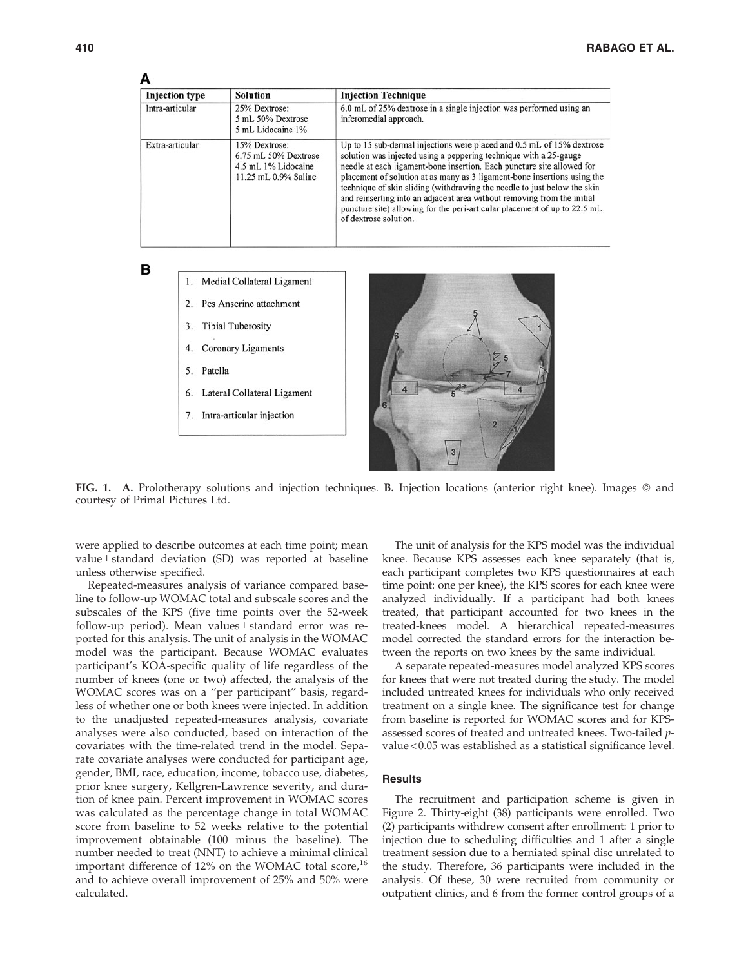# Δ

| <b>Injection</b> type |                                                           | <b>Solution</b>                                                                                                                                                     | <b>Injection Technique</b>                                                                                                                                                                                                                                                                                                                                                                                                                                                                                                                                    |  |  |  |  |
|-----------------------|-----------------------------------------------------------|---------------------------------------------------------------------------------------------------------------------------------------------------------------------|---------------------------------------------------------------------------------------------------------------------------------------------------------------------------------------------------------------------------------------------------------------------------------------------------------------------------------------------------------------------------------------------------------------------------------------------------------------------------------------------------------------------------------------------------------------|--|--|--|--|
| Intra-articular       |                                                           | 25% Dextrose:<br>5 mL 50% Dextrose<br>5 mL Lidocaine 1%                                                                                                             | 6.0 mL of 25% dextrose in a single injection was performed using an<br>inferomedial approach.                                                                                                                                                                                                                                                                                                                                                                                                                                                                 |  |  |  |  |
| Extra-articular       |                                                           | 15% Dextrose:<br>6.75 mL 50% Dextrose<br>4.5 mL 1% Lidocaine<br>11.25 mL 0.9% Saline                                                                                | Up to 15 sub-dermal injections were placed and 0.5 mL of 15% dextrose<br>solution was injected using a peppering technique with a 25-gauge<br>needle at each ligament-bone insertion. Each puncture site allowed for<br>placement of solution at as many as 3 ligament-bone insertions using the<br>technique of skin sliding (withdrawing the needle to just below the skin<br>and reinserting into an adjacent area without removing from the initial<br>puncture site) allowing for the peri-articular placement of up to 22.5 mL<br>of dextrose solution. |  |  |  |  |
| в                     | $\overline{2}$ .<br>3.<br>4.<br>Patella<br>5.<br>6.<br>7. | Medial Collateral Ligament<br>Pes Anserine attachment<br><b>Tibial Tuberosity</b><br>Coronary Ligaments<br>Lateral Collateral Ligament<br>Intra-articular injection | 5<br>3                                                                                                                                                                                                                                                                                                                                                                                                                                                                                                                                                        |  |  |  |  |

FIG. 1. A. Prolotherapy solutions and injection techniques. B. Injection locations (anterior right knee). Images © and courtesy of Primal Pictures Ltd.

were applied to describe outcomes at each time point; mean  $value \pm standard$  deviation (SD) was reported at baseline unless otherwise specified.

Repeated-measures analysis of variance compared baseline to follow-up WOMAC total and subscale scores and the subscales of the KPS (five time points over the 52-week follow-up period). Mean values ± standard error was reported for this analysis. The unit of analysis in the WOMAC model was the participant. Because WOMAC evaluates participant's KOA-specific quality of life regardless of the number of knees (one or two) affected, the analysis of the WOMAC scores was on a ''per participant'' basis, regardless of whether one or both knees were injected. In addition to the unadjusted repeated-measures analysis, covariate analyses were also conducted, based on interaction of the covariates with the time-related trend in the model. Separate covariate analyses were conducted for participant age, gender, BMI, race, education, income, tobacco use, diabetes, prior knee surgery, Kellgren-Lawrence severity, and duration of knee pain. Percent improvement in WOMAC scores was calculated as the percentage change in total WOMAC score from baseline to 52 weeks relative to the potential improvement obtainable (100 minus the baseline). The number needed to treat (NNT) to achieve a minimal clinical important difference of  $12\%$  on the WOMAC total score,<sup>16</sup> and to achieve overall improvement of 25% and 50% were calculated.

The unit of analysis for the KPS model was the individual knee. Because KPS assesses each knee separately (that is, each participant completes two KPS questionnaires at each time point: one per knee), the KPS scores for each knee were analyzed individually. If a participant had both knees treated, that participant accounted for two knees in the treated-knees model. A hierarchical repeated-measures model corrected the standard errors for the interaction between the reports on two knees by the same individual.

A separate repeated-measures model analyzed KPS scores for knees that were not treated during the study. The model included untreated knees for individuals who only received treatment on a single knee. The significance test for change from baseline is reported for WOMAC scores and for KPSassessed scores of treated and untreated knees. Two-tailed pvalue < 0.05 was established as a statistical significance level.

## **Results**

The recruitment and participation scheme is given in Figure 2. Thirty-eight (38) participants were enrolled. Two (2) participants withdrew consent after enrollment: 1 prior to injection due to scheduling difficulties and 1 after a single treatment session due to a herniated spinal disc unrelated to the study. Therefore, 36 participants were included in the analysis. Of these, 30 were recruited from community or outpatient clinics, and 6 from the former control groups of a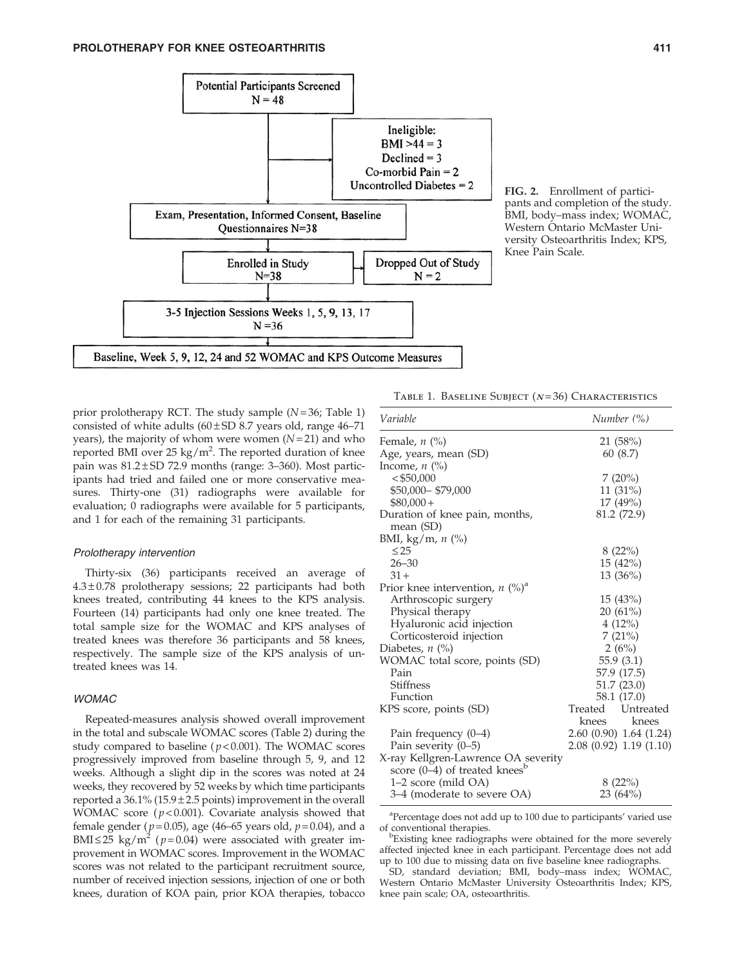

FIG. 2. Enrollment of participants and completion of the study. BMI, body–mass index; WOMAC, Western Ontario McMaster University Osteoarthritis Index; KPS, Knee Pain Scale.

prior prolotherapy RCT. The study sample  $(N=36;$  Table 1) consisted of white adults  $(60 \pm SD 8.7)$  years old, range 46–71 years), the majority of whom were women  $(N=21)$  and who reported BMI over 25 kg/m<sup>2</sup>. The reported duration of knee pain was  $81.2 \pm SD$  72.9 months (range: 3-360). Most participants had tried and failed one or more conservative measures. Thirty-one (31) radiographs were available for evaluation; 0 radiographs were available for 5 participants, and 1 for each of the remaining 31 participants.

## Prolotherapy intervention

Thirty-six (36) participants received an average of  $4.3 \pm 0.78$  prolotherapy sessions; 22 participants had both knees treated, contributing 44 knees to the KPS analysis. Fourteen (14) participants had only one knee treated. The total sample size for the WOMAC and KPS analyses of treated knees was therefore 36 participants and 58 knees, respectively. The sample size of the KPS analysis of untreated knees was 14.

## WOMAC

Repeated-measures analysis showed overall improvement in the total and subscale WOMAC scores (Table 2) during the study compared to baseline ( $p < 0.001$ ). The WOMAC scores progressively improved from baseline through 5, 9, and 12 weeks. Although a slight dip in the scores was noted at 24 weeks, they recovered by 52 weeks by which time participants reported a  $36.1\%$  (15.9 $\pm$ 2.5 points) improvement in the overall WOMAC score ( $p$ <0.001). Covariate analysis showed that female gender ( $p = 0.05$ ), age (46–65 years old,  $p = 0.04$ ), and a BMI $\leq$ 25 kg/m<sup>2</sup> ( $p$ =0.04) were associated with greater improvement in WOMAC scores. Improvement in the WOMAC scores was not related to the participant recruitment source, number of received injection sessions, injection of one or both knees, duration of KOA pain, prior KOA therapies, tobacco TABLE 1. BASELINE SUBJECT  $(N=36)$  CHARACTERISTICS

|             | Number $(\%)$                                                                                                           |  |  |
|-------------|-------------------------------------------------------------------------------------------------------------------------|--|--|
|             | 21 (58%)                                                                                                                |  |  |
| 60 (8.7)    |                                                                                                                         |  |  |
|             |                                                                                                                         |  |  |
|             | 7(20%)                                                                                                                  |  |  |
|             | $11(31\%)$                                                                                                              |  |  |
|             | $17(49\%)$                                                                                                              |  |  |
| 81.2 (72.9) |                                                                                                                         |  |  |
|             |                                                                                                                         |  |  |
|             |                                                                                                                         |  |  |
|             | 8(22%)                                                                                                                  |  |  |
|             |                                                                                                                         |  |  |
|             | 13 (36%)                                                                                                                |  |  |
|             |                                                                                                                         |  |  |
|             | 15(43%)                                                                                                                 |  |  |
|             |                                                                                                                         |  |  |
| 4(12%)      |                                                                                                                         |  |  |
| 7(21%)      |                                                                                                                         |  |  |
|             | 2(6%)                                                                                                                   |  |  |
| 55.9(3.1)   |                                                                                                                         |  |  |
| 57.9 (17.5) |                                                                                                                         |  |  |
|             | 51.7 (23.0)                                                                                                             |  |  |
|             |                                                                                                                         |  |  |
|             |                                                                                                                         |  |  |
|             | knees                                                                                                                   |  |  |
|             |                                                                                                                         |  |  |
|             |                                                                                                                         |  |  |
|             |                                                                                                                         |  |  |
|             |                                                                                                                         |  |  |
|             | 8(22%)                                                                                                                  |  |  |
|             | 23(64%)                                                                                                                 |  |  |
|             | 15 (42%)<br>20 (61%)<br>58.1 (17.0)<br>Treated Untreated<br>knees<br>2.60 (0.90) 1.64 (1.24)<br>2.08 (0.92) 1.19 (1.10) |  |  |

<sup>a</sup>Percentage does not add up to 100 due to participants' varied use of conventional therapies.

Existing knee radiographs were obtained for the more severely affected injected knee in each participant. Percentage does not add up to 100 due to missing data on five baseline knee radiographs.

SD, standard deviation; BMI, body–mass index; WOMAC, Western Ontario McMaster University Osteoarthritis Index; KPS, knee pain scale; OA, osteoarthritis.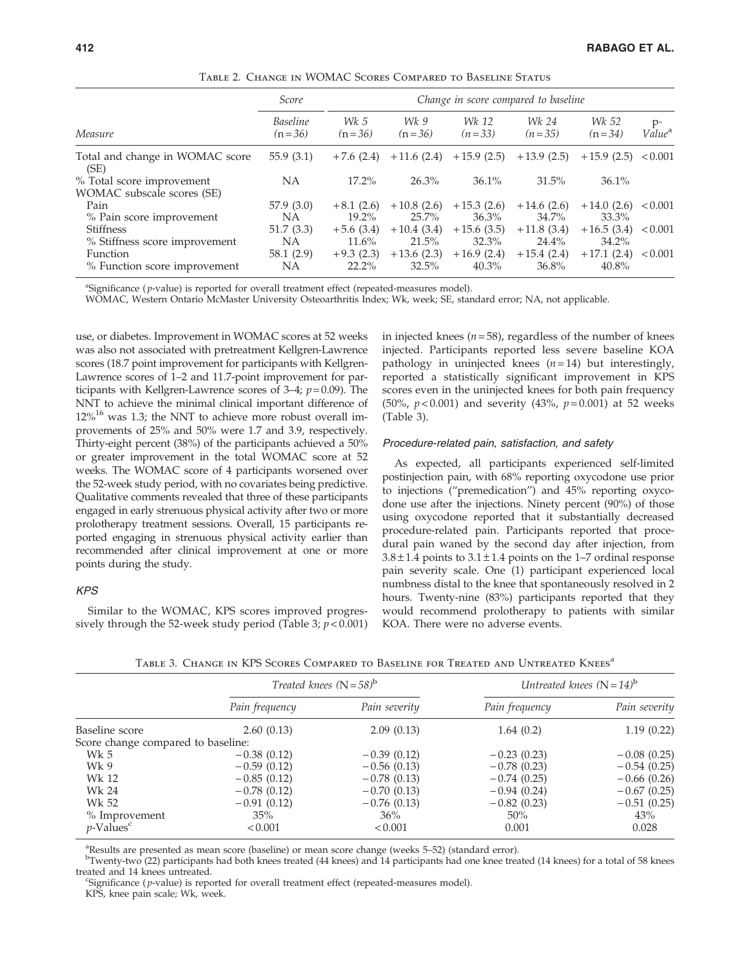|                                         | Score                       | Change in score compared to baseline |                  |                   |                   |                   |                            |
|-----------------------------------------|-----------------------------|--------------------------------------|------------------|-------------------|-------------------|-------------------|----------------------------|
| Measure                                 | <b>Baseline</b><br>$(n=36)$ | Wk 5<br>$(n=36)$                     | Wk 9<br>$(n=36)$ | Wk 12<br>$(n=33)$ | Wk 24<br>$(n=35)$ | Wk 52<br>$(n=34)$ | $p-$<br>Value <sup>a</sup> |
| Total and change in WOMAC score<br>(SE) | 55.9 $(3.1)$                | $+7.6(2.4)$                          | $+11.6(2.4)$     | $+15.9(2.5)$      | $+13.9(2.5)$      | $+15.9(2.5)$      | ${}_{< 0.001}$             |
| % Total score improvement               | NA                          | 17.2%                                | 26.3%            | $36.1\%$          | 31.5%             | $36.1\%$          |                            |
| WOMAC subscale scores (SE)              |                             |                                      |                  |                   |                   |                   |                            |
| Pain                                    | 57.9(3.0)                   | $+8.1(2.6)$                          | $+10.8(2.6)$     | $+15.3(2.6)$      | $+14.6(2.6)$      | $+14.0(2.6)$      | ${}_{< 0.001}$             |
| % Pain score improvement                | <b>NA</b>                   | $19.2\%$                             | $25.7\%$         | 36.3%             | 34.7%             | 33.3%             |                            |
| <b>Stiffness</b>                        | 51.7(3.3)                   | $+5.6(3.4)$                          | $+10.4(3.4)$     | $+15.6(3.5)$      | $+11.8(3.4)$      | $+16.5(3.4)$      | ${}_{< 0.001}$             |
| % Stiffness score improvement           | NA                          | $11.6\%$                             | 21.5%            | 32.3%             | 24.4%             | $34.2\%$          |                            |
| Function                                | 58.1 (2.9)                  | $+9.3(2.3)$                          | $+13.6(2.3)$     | $+16.9(2.4)$      | $+15.4(2.4)$      | $+17.1(2.4)$      | ${}_{0.001}$               |
| % Function score improvement            | ΝA                          | $22.2\%$                             | 32.5%            | $40.3\%$          | 36.8%             | $40.8\%$          |                            |

Table 2. Change in WOMAC Scores Compared to Baseline Status

<sup>a</sup>Significance (p-value) is reported for overall treatment effect (repeated-measures model).

WOMAC, Western Ontario McMaster University Osteoarthritis Index; Wk, week; SE, standard error; NA, not applicable.

use, or diabetes. Improvement in WOMAC scores at 52 weeks was also not associated with pretreatment Kellgren-Lawrence scores (18.7 point improvement for participants with Kellgren-Lawrence scores of 1–2 and 11.7-point improvement for participants with Kellgren-Lawrence scores of 3–4;  $p=0.09$ ). The NNT to achieve the minimal clinical important difference of  $12\%$ <sup>16</sup> was 1.3; the NNT to achieve more robust overall improvements of 25% and 50% were 1.7 and 3.9, respectively. Thirty-eight percent (38%) of the participants achieved a 50% or greater improvement in the total WOMAC score at 52 weeks. The WOMAC score of 4 participants worsened over the 52-week study period, with no covariates being predictive. Qualitative comments revealed that three of these participants engaged in early strenuous physical activity after two or more prolotherapy treatment sessions. Overall, 15 participants reported engaging in strenuous physical activity earlier than recommended after clinical improvement at one or more points during the study.

## KPS

Similar to the WOMAC, KPS scores improved progressively through the 52-week study period (Table 3;  $p < 0.001$ ) in injected knees ( $n = 58$ ), regardless of the number of knees injected. Participants reported less severe baseline KOA pathology in uninjected knees  $(n=14)$  but interestingly, reported a statistically significant improvement in KPS scores even in the uninjected knees for both pain frequency (50%,  $p < 0.001$ ) and severity (43%,  $p = 0.001$ ) at 52 weeks (Table 3).

#### Procedure-related pain, satisfaction, and safety

As expected, all participants experienced self-limited postinjection pain, with 68% reporting oxycodone use prior to injections (''premedication'') and 45% reporting oxycodone use after the injections. Ninety percent (90%) of those using oxycodone reported that it substantially decreased procedure-related pain. Participants reported that procedural pain waned by the second day after injection, from  $3.8 \pm 1.4$  points to  $3.1 \pm 1.4$  points on the 1–7 ordinal response pain severity scale. One (1) participant experienced local numbness distal to the knee that spontaneously resolved in 2 hours. Twenty-nine (83%) participants reported that they would recommend prolotherapy to patients with similar KOA. There were no adverse events.

|                                    | Treated knees $(N=58)^b$ |               | Untreated knees $(N=14)^b$ |               |  |
|------------------------------------|--------------------------|---------------|----------------------------|---------------|--|
|                                    | Pain frequency           | Pain severity | Pain frequency             | Pain severity |  |
| Baseline score                     | 2.60(0.13)               | 2.09(0.13)    | 1.64(0.2)                  | 1.19(0.22)    |  |
| Score change compared to baseline: |                          |               |                            |               |  |
| Wk 5                               | $-0.38(0.12)$            | $-0.39(0.12)$ | $-0.23(0.23)$              | $-0.08(0.25)$ |  |
| Wk9                                | $-0.59(0.12)$            | $-0.56(0.13)$ | $-0.78(0.23)$              | $-0.54(0.25)$ |  |
| Wk 12                              | $-0.85(0.12)$            | $-0.78(0.13)$ | $-0.74(0.25)$              | $-0.66(0.26)$ |  |
| Wk 24                              | $-0.78(0.12)$            | $-0.70(0.13)$ | $-0.94(0.24)$              | $-0.67(0.25)$ |  |
| Wk 52                              | $-0.91(0.12)$            | $-0.76(0.13)$ | $-0.82(0.23)$              | $-0.51(0.25)$ |  |
| % Improvement                      | 35%                      | 36%           | $50\%$                     | 43%           |  |
| $p$ -Values <sup>c</sup>           | < 0.001                  | < 0.001       | 0.001                      | 0.028         |  |

TABLE 3. CHANGE IN KPS SCORES COMPARED TO BASELINE FOR TREATED AND UNTREATED KNEES<sup>a</sup>

<sup>a</sup>Results are presented as mean score (baseline) or mean score change (weeks 5–52) (standard error).

b Twenty-two (22) participants had both knees treated (44 knees) and 14 participants had one knee treated (14 knees) for a total of 58 knees treated and 14 knees untreated.

Significance ( p-value) is reported for overall treatment effect (repeated-measures model).

KPS, knee pain scale; Wk, week.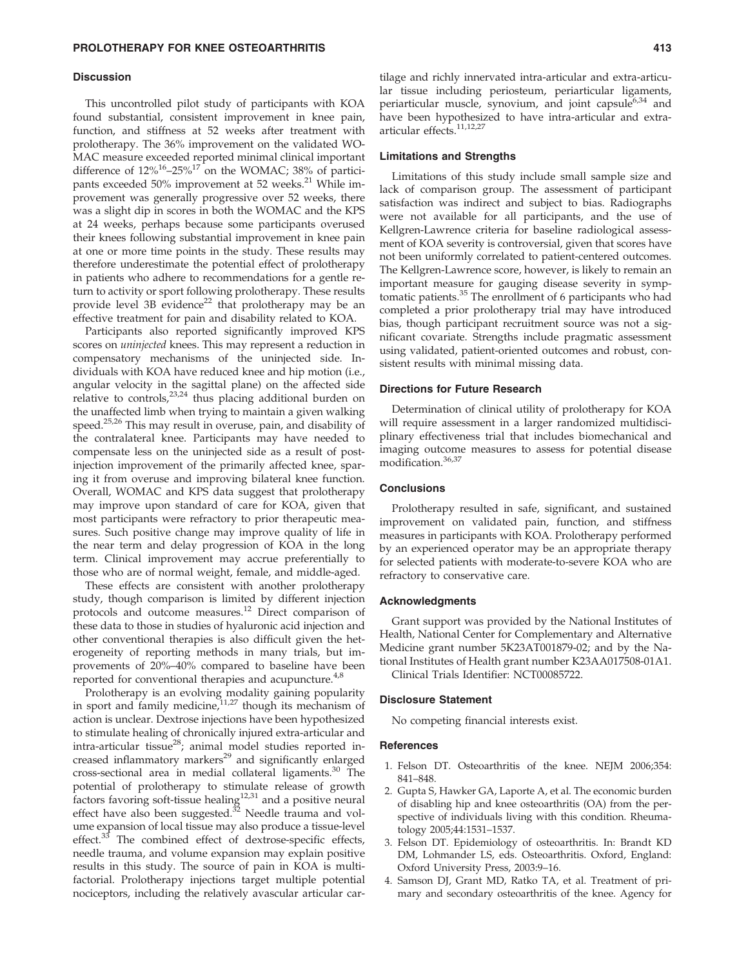## **Discussion**

This uncontrolled pilot study of participants with KOA found substantial, consistent improvement in knee pain, function, and stiffness at 52 weeks after treatment with prolotherapy. The 36% improvement on the validated WO-MAC measure exceeded reported minimal clinical important difference of  $12\%^{16}$ – $25\%^{17}$  on the WOMAC; 38% of participants exceeded 50% improvement at 52 weeks.<sup>21</sup> While improvement was generally progressive over 52 weeks, there was a slight dip in scores in both the WOMAC and the KPS at 24 weeks, perhaps because some participants overused their knees following substantial improvement in knee pain at one or more time points in the study. These results may therefore underestimate the potential effect of prolotherapy in patients who adhere to recommendations for a gentle return to activity or sport following prolotherapy. These results provide level 3B evidence<sup>22</sup> that prolotherapy may be an effective treatment for pain and disability related to KOA.

Participants also reported significantly improved KPS scores on *uninjected* knees. This may represent a reduction in compensatory mechanisms of the uninjected side. Individuals with KOA have reduced knee and hip motion (i.e., angular velocity in the sagittal plane) on the affected side relative to controls,<sup>23,24</sup> thus placing additional burden on the unaffected limb when trying to maintain a given walking speed.<sup>25,26</sup> This may result in overuse, pain, and disability of the contralateral knee. Participants may have needed to compensate less on the uninjected side as a result of postinjection improvement of the primarily affected knee, sparing it from overuse and improving bilateral knee function. Overall, WOMAC and KPS data suggest that prolotherapy may improve upon standard of care for KOA, given that most participants were refractory to prior therapeutic measures. Such positive change may improve quality of life in the near term and delay progression of KOA in the long term. Clinical improvement may accrue preferentially to those who are of normal weight, female, and middle-aged.

These effects are consistent with another prolotherapy study, though comparison is limited by different injection protocols and outcome measures.12 Direct comparison of these data to those in studies of hyaluronic acid injection and other conventional therapies is also difficult given the heterogeneity of reporting methods in many trials, but improvements of 20%–40% compared to baseline have been reported for conventional therapies and acupuncture.<sup> $4,8$ </sup>

Prolotherapy is an evolving modality gaining popularity in sport and family medicine, $11,27$  though its mechanism of action is unclear. Dextrose injections have been hypothesized to stimulate healing of chronically injured extra-articular and intra-articular tissue<sup>28</sup>; animal model studies reported increased inflammatory markers<sup>29</sup> and significantly enlarged cross-sectional area in medial collateral ligaments.<sup>30</sup> The potential of prolotherapy to stimulate release of growth factors favoring soft-tissue healing<sup>12,31</sup> and a positive neural effect have also been suggested. $32$  Needle trauma and volume expansion of local tissue may also produce a tissue-level effect.<sup>33</sup> The combined effect of dextrose-specific effects, needle trauma, and volume expansion may explain positive results in this study. The source of pain in KOA is multifactorial. Prolotherapy injections target multiple potential nociceptors, including the relatively avascular articular car-

tilage and richly innervated intra-articular and extra-articular tissue including periosteum, periarticular ligaments, periarticular muscle, synovium, and joint capsule $6,34$  and have been hypothesized to have intra-articular and extraarticular effects.<sup>11,12,27</sup>

#### Limitations and Strengths

Limitations of this study include small sample size and lack of comparison group. The assessment of participant satisfaction was indirect and subject to bias. Radiographs were not available for all participants, and the use of Kellgren-Lawrence criteria for baseline radiological assessment of KOA severity is controversial, given that scores have not been uniformly correlated to patient-centered outcomes. The Kellgren-Lawrence score, however, is likely to remain an important measure for gauging disease severity in symptomatic patients.<sup>35</sup> The enrollment of 6 participants who had completed a prior prolotherapy trial may have introduced bias, though participant recruitment source was not a significant covariate. Strengths include pragmatic assessment using validated, patient-oriented outcomes and robust, consistent results with minimal missing data.

#### Directions for Future Research

Determination of clinical utility of prolotherapy for KOA will require assessment in a larger randomized multidisciplinary effectiveness trial that includes biomechanical and imaging outcome measures to assess for potential disease modification.36,37

### **Conclusions**

Prolotherapy resulted in safe, significant, and sustained improvement on validated pain, function, and stiffness measures in participants with KOA. Prolotherapy performed by an experienced operator may be an appropriate therapy for selected patients with moderate-to-severe KOA who are refractory to conservative care.

## Acknowledgments

Grant support was provided by the National Institutes of Health, National Center for Complementary and Alternative Medicine grant number 5K23AT001879-02; and by the National Institutes of Health grant number K23AA017508-01A1. Clinical Trials Identifier: NCT00085722.

#### Disclosure Statement

No competing financial interests exist.

## References

- 1. Felson DT. Osteoarthritis of the knee. NEJM 2006;354: 841–848.
- 2. Gupta S, Hawker GA, Laporte A, et al. The economic burden of disabling hip and knee osteoarthritis (OA) from the perspective of individuals living with this condition. Rheumatology 2005;44:1531–1537.
- 3. Felson DT. Epidemiology of osteoarthritis. In: Brandt KD DM, Lohmander LS, eds. Osteoarthritis. Oxford, England: Oxford University Press, 2003:9–16.
- 4. Samson DJ, Grant MD, Ratko TA, et al. Treatment of primary and secondary osteoarthritis of the knee. Agency for